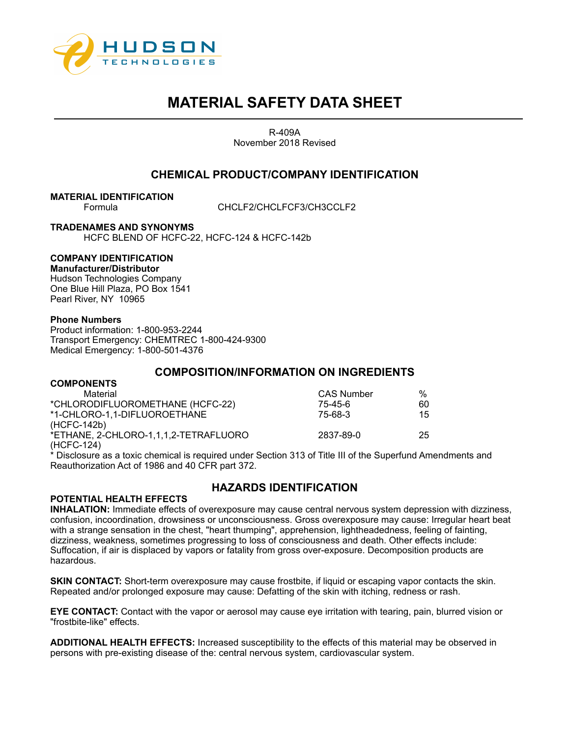

R-409A November 2018 Revised

## **CHEMICAL PRODUCT/COMPANY IDENTIFICATION**

**MATERIAL IDENTIFICATION**

CHCLF2/CHCLFCF3/CH3CCLF2

**TRADENAMES AND SYNONYMS**

HCFC BLEND OF HCFC-22, HCFC-124 & HCFC-142b

## **COMPANY IDENTIFICATION**

**Manufacturer/Distributor**  Hudson Technologies Company One Blue Hill Plaza, PO Box 1541 Pearl River, NY 10965

## **Phone Numbers**

Product information: 1-800-953-2244 Transport Emergency: CHEMTREC 1-800-424-9300 Medical Emergency: 1-800-501-4376

## **COMPOSITION/INFORMATION ON INGREDIENTS**

| <b>CAS Number</b> | $\%$ |
|-------------------|------|
| 75-45-6           | 60   |
| 75-68-3           | 15   |
|                   |      |
| 2837-89-0         | 25   |
|                   |      |
|                   |      |

\* Disclosure as a toxic chemical is required under Section 313 of Title III of the Superfund Amendments and Reauthorization Act of 1986 and 40 CFR part 372.

# **HAZARDS IDENTIFICATION**

## **POTENTIAL HEALTH EFFECTS**

**INHALATION:** Immediate effects of overexposure may cause central nervous system depression with dizziness, confusion, incoordination, drowsiness or unconsciousness. Gross overexposure may cause: Irregular heart beat with a strange sensation in the chest, "heart thumping", apprehension, lightheadedness, feeling of fainting, dizziness, weakness, sometimes progressing to loss of consciousness and death. Other effects include: Suffocation, if air is displaced by vapors or fatality from gross over-exposure. Decomposition products are hazardous.

**SKIN CONTACT:** Short-term overexposure may cause frostbite, if liquid or escaping vapor contacts the skin. Repeated and/or prolonged exposure may cause: Defatting of the skin with itching, redness or rash.

**EYE CONTACT:** Contact with the vapor or aerosol may cause eye irritation with tearing, pain, blurred vision or "frostbite-like" effects.

**ADDITIONAL HEALTH EFFECTS:** Increased susceptibility to the effects of this material may be observed in persons with pre-existing disease of the: central nervous system, cardiovascular system.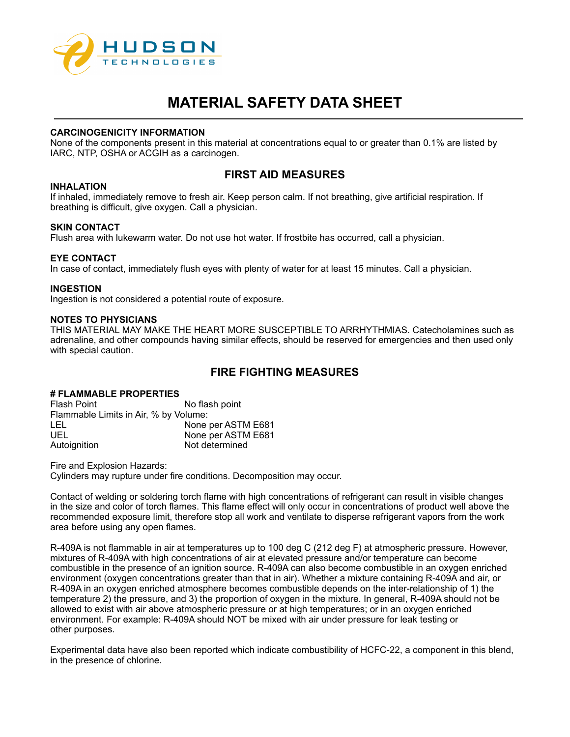

### **CARCINOGENICITY INFORMATION**

None of the components present in this material at concentrations equal to or greater than 0.1% are listed by IARC, NTP, OSHA or ACGIH as a carcinogen.

# **FIRST AID MEASURES**

## **INHALATION**

If inhaled, immediately remove to fresh air. Keep person calm. If not breathing, give artificial respiration. If breathing is difficult, give oxygen. Call a physician.

## **SKIN CONTACT**

Flush area with lukewarm water. Do not use hot water. If frostbite has occurred, call a physician.

#### **EYE CONTACT**

In case of contact, immediately flush eyes with plenty of water for at least 15 minutes. Call a physician.

#### **INGESTION**

Ingestion is not considered a potential route of exposure.

#### **NOTES TO PHYSICIANS**

THIS MATERIAL MAY MAKE THE HEART MORE SUSCEPTIBLE TO ARRHYTHMIAS. Catecholamines such as adrenaline, and other compounds having similar effects, should be reserved for emergencies and then used only with special caution.

# **FIRE FIGHTING MEASURES**

# **# FLAMMABLE PROPERTIES**

No flash point Flammable Limits in Air, % by Volume: LEL None per ASTM E681 UEL None per ASTM E681 Autoignition Not determined

Fire and Explosion Hazards:

Cylinders may rupture under fire conditions. Decomposition may occur.

Contact of welding or soldering torch flame with high concentrations of refrigerant can result in visible changes in the size and color of torch flames. This flame effect will only occur in concentrations of product well above the recommended exposure limit, therefore stop all work and ventilate to disperse refrigerant vapors from the work area before using any open flames.

R-409A is not flammable in air at temperatures up to 100 deg C (212 deg F) at atmospheric pressure. However, mixtures of R-409A with high concentrations of air at elevated pressure and/or temperature can become combustible in the presence of an ignition source. R-409A can also become combustible in an oxygen enriched environment (oxygen concentrations greater than that in air). Whether a mixture containing R-409A and air, or R-409A in an oxygen enriched atmosphere becomes combustible depends on the inter-relationship of 1) the temperature 2) the pressure, and 3) the proportion of oxygen in the mixture. In general, R-409A should not be allowed to exist with air above atmospheric pressure or at high temperatures; or in an oxygen enriched environment. For example: R-409A should NOT be mixed with air under pressure for leak testing or other purposes.

Experimental data have also been reported which indicate combustibility of HCFC-22, a component in this blend, in the presence of chlorine.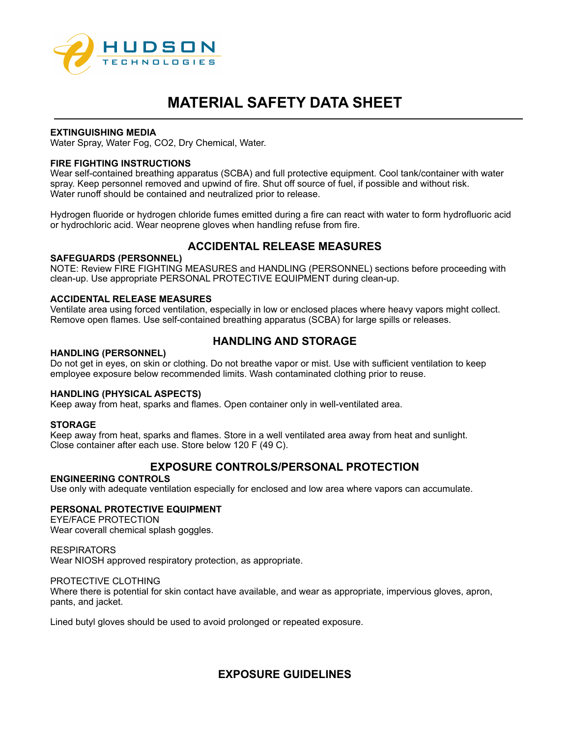

### **EXTINGUISHING MEDIA**

Water Spray, Water Fog, CO2, Dry Chemical, Water.

## **FIRE FIGHTING INSTRUCTIONS**

Wear self-contained breathing apparatus (SCBA) and full protective equipment. Cool tank/container with water spray. Keep personnel removed and upwind of fire. Shut off source of fuel, if possible and without risk. Water runoff should be contained and neutralized prior to release.

Hydrogen fluoride or hydrogen chloride fumes emitted during a fire can react with water to form hydrofluoric acid or hydrochloric acid. Wear neoprene gloves when handling refuse from fire.

# **ACCIDENTAL RELEASE MEASURES**

#### **SAFEGUARDS (PERSONNEL)**

NOTE: Review FIRE FIGHTING MEASURES and HANDLING (PERSONNEL) sections before proceeding with clean-up. Use appropriate PERSONAL PROTECTIVE EQUIPMENT during clean-up.

## **ACCIDENTAL RELEASE MEASURES**

Ventilate area using forced ventilation, especially in low or enclosed places where heavy vapors might collect. Remove open flames. Use self-contained breathing apparatus (SCBA) for large spills or releases.

# **HANDLING AND STORAGE**

#### **HANDLING (PERSONNEL)**

Do not get in eyes, on skin or clothing. Do not breathe vapor or mist. Use with sufficient ventilation to keep employee exposure below recommended limits. Wash contaminated clothing prior to reuse.

#### **HANDLING (PHYSICAL ASPECTS)**

Keep away from heat, sparks and flames. Open container only in well-ventilated area.

#### **STORAGE**

Keep away from heat, sparks and flames. Store in a well ventilated area away from heat and sunlight. Close container after each use. Store below 120 F (49 C).

# **EXPOSURE CONTROLS/PERSONAL PROTECTION**

#### **ENGINEERING CONTROLS**

Use only with adequate ventilation especially for enclosed and low area where vapors can accumulate.

## **PERSONAL PROTECTIVE EQUIPMENT**

EYE/FACE PROTECTION Wear coverall chemical splash goggles.

**RESPIRATORS** Wear NIOSH approved respiratory protection, as appropriate.

#### PROTECTIVE CLOTHING

Where there is potential for skin contact have available, and wear as appropriate, impervious gloves, apron, pants, and jacket.

Lined butyl gloves should be used to avoid prolonged or repeated exposure.

# **EXPOSURE GUIDELINES**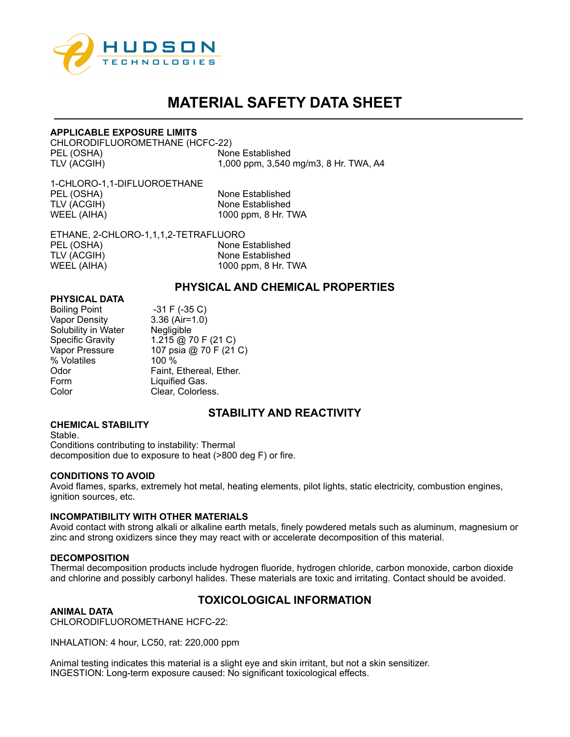

## **APPLICABLE EXPOSURE LIMITS**

CHLORODIFLUOROMETHANE (HCFC-22) PEL (OSHA) None Established TLV (ACGIH) 1,000 ppm, 3,540 mg/m3, 8 Hr. TWA, A4

1-CHLORO-1,1-DIFLUOROETHANE PEL (OSHA) None Established<br>TLV (ACGIH) None Established WEEL (AIHA) 1000 ppm, 8 Hr. TWA

None Established

ETHANE, 2-CHLORO-1,1,1,2-TETRAFLUORO PEL (OSHA) None Established TLV (ACGIH) None Established<br>
WEEL (AIHA) NOD ppm, 8 Hr. T 1000 ppm, 8 Hr. TWA

## **PHYSICAL AND CHEMICAL PROPERTIES**

## **PHYSICAL DATA**

| <b>Boiling Point</b>    | $-31$ F ( $-35$ C)      |
|-------------------------|-------------------------|
| <b>Vapor Density</b>    | $3.36$ (Air=1.0)        |
| Solubility in Water     | Negligible              |
| <b>Specific Gravity</b> | 1.215 @ 70 F (21 C)     |
| Vapor Pressure          | 107 psia @ 70 F (21 C)  |
| % Volatiles             | 100 %                   |
| Odor                    | Faint, Ethereal, Ether. |
| Form                    | Liquified Gas.          |
| Color                   | Clear, Colorless.       |

# **STABILITY AND REACTIVITY**

#### **CHEMICAL STABILITY**

Stable. Conditions contributing to instability: Thermal decomposition due to exposure to heat (>800 deg F) or fire.

#### **CONDITIONS TO AVOID**

Avoid flames, sparks, extremely hot metal, heating elements, pilot lights, static electricity, combustion engines, ignition sources, etc.

#### **INCOMPATIBILITY WITH OTHER MATERIALS**

Avoid contact with strong alkali or alkaline earth metals, finely powdered metals such as aluminum, magnesium or zinc and strong oxidizers since they may react with or accelerate decomposition of this material.

#### **DECOMPOSITION**

Thermal decomposition products include hydrogen fluoride, hydrogen chloride, carbon monoxide, carbon dioxide and chlorine and possibly carbonyl halides. These materials are toxic and irritating. Contact should be avoided.

# **TOXICOLOGICAL INFORMATION**

#### **ANIMAL DATA**

CHLORODIFLUOROMETHANE HCFC-22:

INHALATION: 4 hour, LC50, rat: 220,000 ppm

Animal testing indicates this material is a slight eye and skin irritant, but not a skin sensitizer. INGESTION: Long-term exposure caused: No significant toxicological effects.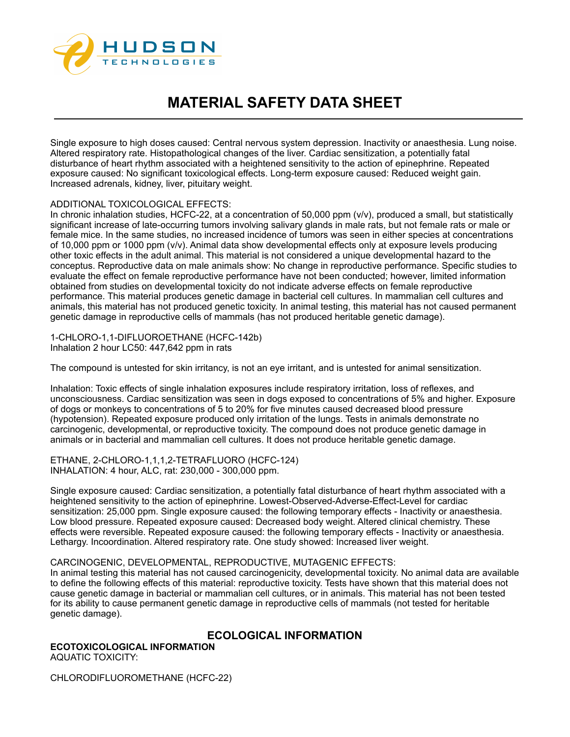

Single exposure to high doses caused: Central nervous system depression. Inactivity or anaesthesia. Lung noise. Altered respiratory rate. Histopathological changes of the liver. Cardiac sensitization, a potentially fatal disturbance of heart rhythm associated with a heightened sensitivity to the action of epinephrine. Repeated exposure caused: No significant toxicological effects. Long-term exposure caused: Reduced weight gain. Increased adrenals, kidney, liver, pituitary weight.

## ADDITIONAL TOXICOLOGICAL EFFECTS:

In chronic inhalation studies, HCFC-22, at a concentration of 50,000 ppm (v/v), produced a small, but statistically significant increase of late-occurring tumors involving salivary glands in male rats, but not female rats or male or female mice. In the same studies, no increased incidence of tumors was seen in either species at concentrations of 10,000 ppm or 1000 ppm (v/v). Animal data show developmental effects only at exposure levels producing other toxic effects in the adult animal. This material is not considered a unique developmental hazard to the conceptus. Reproductive data on male animals show: No change in reproductive performance. Specific studies to evaluate the effect on female reproductive performance have not been conducted; however, limited information obtained from studies on developmental toxicity do not indicate adverse effects on female reproductive performance. This material produces genetic damage in bacterial cell cultures. In mammalian cell cultures and animals, this material has not produced genetic toxicity. In animal testing, this material has not caused permanent genetic damage in reproductive cells of mammals (has not produced heritable genetic damage).

1-CHLORO-1,1-DIFLUOROETHANE (HCFC-142b) Inhalation 2 hour LC50: 447,642 ppm in rats

The compound is untested for skin irritancy, is not an eye irritant, and is untested for animal sensitization.

Inhalation: Toxic effects of single inhalation exposures include respiratory irritation, loss of reflexes, and unconsciousness. Cardiac sensitization was seen in dogs exposed to concentrations of 5% and higher. Exposure of dogs or monkeys to concentrations of 5 to 20% for five minutes caused decreased blood pressure (hypotension). Repeated exposure produced only irritation of the lungs. Tests in animals demonstrate no carcinogenic, developmental, or reproductive toxicity. The compound does not produce genetic damage in animals or in bacterial and mammalian cell cultures. It does not produce heritable genetic damage.

ETHANE, 2-CHLORO-1,1,1,2-TETRAFLUORO (HCFC-124) INHALATION: 4 hour, ALC, rat: 230,000 - 300,000 ppm.

Single exposure caused: Cardiac sensitization, a potentially fatal disturbance of heart rhythm associated with a heightened sensitivity to the action of epinephrine. Lowest-Observed-Adverse-Effect-Level for cardiac sensitization: 25,000 ppm. Single exposure caused: the following temporary effects - Inactivity or anaesthesia. Low blood pressure. Repeated exposure caused: Decreased body weight. Altered clinical chemistry. These effects were reversible. Repeated exposure caused: the following temporary effects - Inactivity or anaesthesia. Lethargy. Incoordination. Altered respiratory rate. One study showed: Increased liver weight.

#### CARCINOGENIC, DEVELOPMENTAL, REPRODUCTIVE, MUTAGENIC EFFECTS:

In animal testing this material has not caused carcinogenicity, developmental toxicity. No animal data are available to define the following effects of this material: reproductive toxicity. Tests have shown that this material does not cause genetic damage in bacterial or mammalian cell cultures, or in animals. This material has not been tested for its ability to cause permanent genetic damage in reproductive cells of mammals (not tested for heritable genetic damage).

**ECOLOGICAL INFORMATION ECOTOXICOLOGICAL INFORMATION** AQUATIC TOXICITY:

CHLORODIFLUOROMETHANE (HCFC-22)